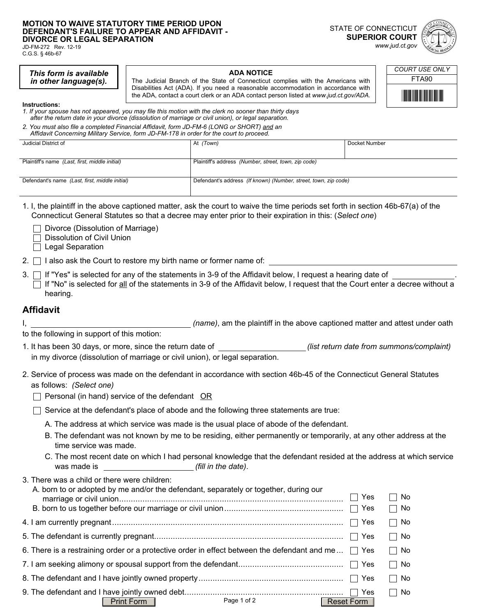### **MOTION TO WAIVE STATUTORY TIME PERIOD UPON DEFENDANT'S FAILURE TO APPEAR AND AFFIDAVIT - DIVORCE OR LEGAL SEPARATION**

JD-FM-272 Rev. 12-19 C.G.S. § 46b-67

> *This form is available in other language(s).*

### STATE OF CONNECTICUT **SUPERIOR COURT**  *www.jud.ct.gov*

## **ADA NOTICE**

The Judicial Branch of the State of Connecticut complies with the Americans with Disabilities Act (ADA). If you need a reasonable accommodation in accordance with the ADA, contact a court clerk or an ADA contact person listed at *www.jud.ct.gov/ADA.*

| COURT USE ONLY     |
|--------------------|
| <b>FTA90</b>       |
| <u> Harrison k</u> |

**Instructions:** 

- *1. If your spouse has not appeared, you may file this motion with the clerk no sooner than thirty days after the return date in your divorce (dissolution of marriage or civil union), or legal separation.*
- *2. You must also file a completed Financial Affidavit, form JD-FM-6 (LONG or SHORT) and an Affidavit Concerning Military Service, form JD-FM-178 in order for the court to proceed.*

| At <i>(Town)</i> | Docket Number                                                                                                           |
|------------------|-------------------------------------------------------------------------------------------------------------------------|
|                  |                                                                                                                         |
|                  |                                                                                                                         |
|                  |                                                                                                                         |
|                  |                                                                                                                         |
|                  |                                                                                                                         |
|                  |                                                                                                                         |
|                  | Plaintiff's address (Number, street, town, zip code)<br>Defendant's address (If known) (Number, street, town, zip code) |

- 1. I, the plaintiff in the above captioned matter, ask the court to waive the time periods set forth in section 46b-67(a) of the Connecticut General Statutes so that a decree may enter prior to their expiration in this: (*Select one*)
	- $\Box$  Divorce (Dissolution of Marriage)
	- Dissolution of Civil Union
	- $\Box$  Legal Separation

3.  $\Box$  If "Yes" is selected for any of the statements in 3-9 of the Affidavit below, I request a hearing date of  $\Box$  If "No" is selected for all of the statements in 3-9 of the Affidavit below, I request that the Court enter a decree without a hearing.

# **Affidavit**

I, *(name)*, am the plaintiff in the above captioned matter and attest under oath

to the following in support of this motion:

- 1. It has been 30 days, or more, since the return date of *depart contained also first return date from summons/complaint***)** in my divorce (dissolution of marriage or civil union), or legal separation.
- 2. Service of process was made on the defendant in accordance with section 46b-45 of the Connecticut General Statutes as follows: *(Select one)*
	- $\Box$  Personal (in hand) service of the defendant OR

 $\Box$  Service at the defendant's place of abode and the following three statements are true:

- A. The address at which service was made is the usual place of abode of the defendant.
- B. The defendant was not known by me to be residing, either permanently or temporarily, at any other address at the time service was made.
- C. The most recent date on which I had personal knowledge that the defendant resided at the address at which service was made is *(fill in the date)*.

| 3. There was a child or there were children:                                                            |              |             |
|---------------------------------------------------------------------------------------------------------|--------------|-------------|
| A. born to or adopted by me and/or the defendant, separately or together, during our                    | Yes          | No          |
|                                                                                                         |              | No.         |
|                                                                                                         | ∣ Yes        | □ No        |
|                                                                                                         |              | $\sqcap$ No |
| 6. There is a restraining order or a protective order in effect between the defendant and me $\Box$ Yes |              | $\sqcap$ No |
|                                                                                                         |              | □ No        |
|                                                                                                         |              | No          |
|                                                                                                         |              | $\sqcap$ No |
| Page 1 of 2<br>Print Form                                                                               | Reset Form 1 |             |